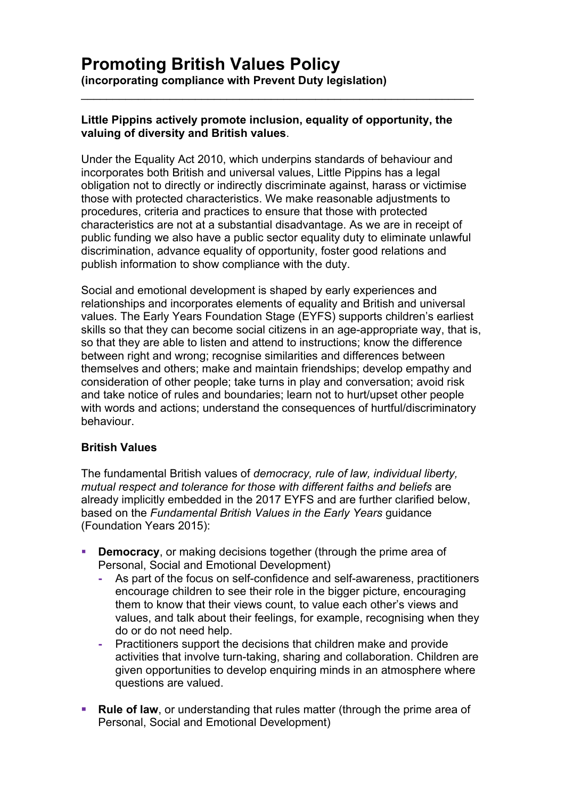### **Little Pippins actively promote inclusion, equality of opportunity, the valuing of diversity and British values**.

\_\_\_\_\_\_\_\_\_\_\_\_\_\_\_\_\_\_\_\_\_\_\_\_\_\_\_\_\_\_\_\_\_\_\_\_\_\_\_\_\_\_\_\_\_\_\_\_\_\_\_\_\_\_\_\_\_\_\_\_\_\_

Under the Equality Act 2010, which underpins standards of behaviour and incorporates both British and universal values, Little Pippins has a legal obligation not to directly or indirectly discriminate against, harass or victimise those with protected characteristics. We make reasonable adjustments to procedures, criteria and practices to ensure that those with protected characteristics are not at a substantial disadvantage. As we are in receipt of public funding we also have a public sector equality duty to eliminate unlawful discrimination, advance equality of opportunity, foster good relations and publish information to show compliance with the duty.

Social and emotional development is shaped by early experiences and relationships and incorporates elements of equality and British and universal values. The Early Years Foundation Stage (EYFS) supports children's earliest skills so that they can become social citizens in an age-appropriate way, that is, so that they are able to listen and attend to instructions; know the difference between right and wrong; recognise similarities and differences between themselves and others; make and maintain friendships; develop empathy and consideration of other people; take turns in play and conversation; avoid risk and take notice of rules and boundaries; learn not to hurt/upset other people with words and actions; understand the consequences of hurtful/discriminatory behaviour.

# **British Values**

The fundamental British values of *democracy, rule of law, individual liberty, mutual respect and tolerance for those with different faiths and beliefs* are already implicitly embedded in the 2017 EYFS and are further clarified below, based on the *Fundamental British Values in the Early Years* guidance (Foundation Years 2015):

- **Democracy, or making decisions together (through the prime area of** Personal, Social and Emotional Development)
	- **-** As part of the focus on self-confidence and self-awareness, practitioners encourage children to see their role in the bigger picture, encouraging them to know that their views count, to value each other's views and values, and talk about their feelings, for example, recognising when they do or do not need help.
	- **-** Practitioners support the decisions that children make and provide activities that involve turn-taking, sharing and collaboration. Children are given opportunities to develop enquiring minds in an atmosphere where questions are valued.
- **Rule of law**, or understanding that rules matter (through the prime area of Personal, Social and Emotional Development)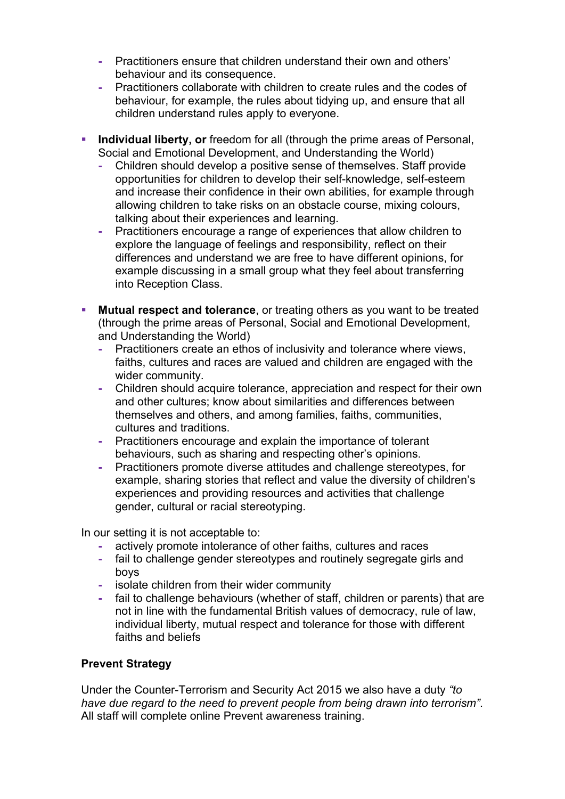- **-** Practitioners ensure that children understand their own and others' behaviour and its consequence.
- **-** Practitioners collaborate with children to create rules and the codes of behaviour, for example, the rules about tidying up, and ensure that all children understand rules apply to everyone.
- **Individual liberty, or** freedom for all (through the prime areas of Personal, Social and Emotional Development, and Understanding the World)
	- **-** Children should develop a positive sense of themselves. Staff provide opportunities for children to develop their self-knowledge, self-esteem and increase their confidence in their own abilities, for example through allowing children to take risks on an obstacle course, mixing colours, talking about their experiences and learning.
	- **-** Practitioners encourage a range of experiences that allow children to explore the language of feelings and responsibility, reflect on their differences and understand we are free to have different opinions, for example discussing in a small group what they feel about transferring into Reception Class.
- **Mutual respect and tolerance**, or treating others as you want to be treated (through the prime areas of Personal, Social and Emotional Development, and Understanding the World)
	- **-** Practitioners create an ethos of inclusivity and tolerance where views, faiths, cultures and races are valued and children are engaged with the wider community.
	- **-** Children should acquire tolerance, appreciation and respect for their own and other cultures; know about similarities and differences between themselves and others, and among families, faiths, communities, cultures and traditions.
	- **-** Practitioners encourage and explain the importance of tolerant behaviours, such as sharing and respecting other's opinions.
	- **-** Practitioners promote diverse attitudes and challenge stereotypes, for example, sharing stories that reflect and value the diversity of children's experiences and providing resources and activities that challenge gender, cultural or racial stereotyping.

In our setting it is not acceptable to:

- **-** actively promote intolerance of other faiths, cultures and races
- **-** fail to challenge gender stereotypes and routinely segregate girls and boys
- **-** isolate children from their wider community
- **-** fail to challenge behaviours (whether of staff, children or parents) that are not in line with the fundamental British values of democracy, rule of law, individual liberty, mutual respect and tolerance for those with different faiths and beliefs

# **Prevent Strategy**

Under the Counter-Terrorism and Security Act 2015 we also have a duty *"to have due regard to the need to prevent people from being drawn into terrorism"*. All staff will complete online Prevent awareness training.